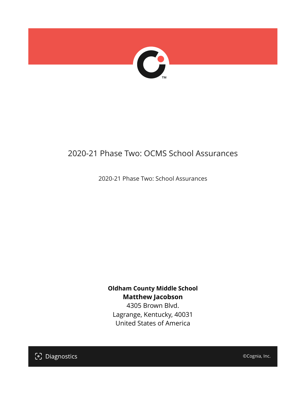

# 2020-21 Phase Two: OCMS School Assurances

2020-21 Phase Two: School Assurances

**Oldham County Middle School Matthew Jacobson** 4305 Brown Blvd. Lagrange, Kentucky, 40031

United States of America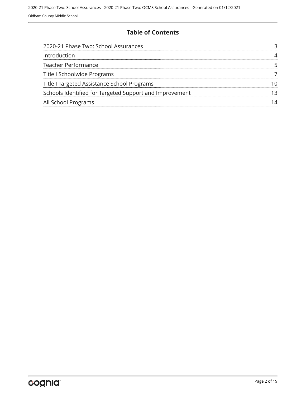### **Table of Contents**

| 2020-21 Phase Two: School Assurances                    |  |
|---------------------------------------------------------|--|
| Introduction                                            |  |
| <b>Teacher Performance</b>                              |  |
| Title I Schoolwide Programs                             |  |
| Title I Targeted Assistance School Programs             |  |
| Schools Identified for Targeted Support and Improvement |  |
| All School Programs                                     |  |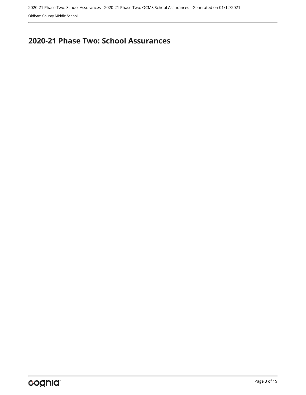# <span id="page-2-0"></span>**2020-21 Phase Two: School Assurances**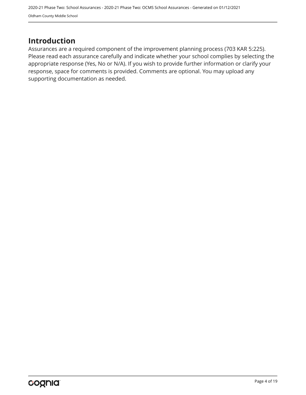### <span id="page-3-0"></span>**Introduction**

Assurances are a required component of the improvement planning process (703 KAR 5:225). Please read each assurance carefully and indicate whether your school complies by selecting the appropriate response (Yes, No or N/A). If you wish to provide further information or clarify your response, space for comments is provided. Comments are optional. You may upload any supporting documentation as needed.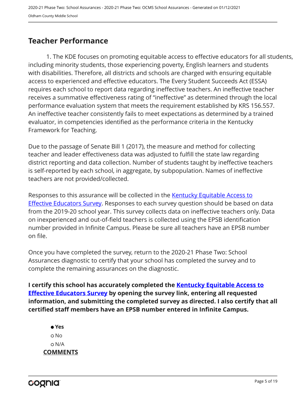### <span id="page-4-0"></span>**Teacher Performance**

1. The KDE focuses on promoting equitable access to effective educators for all students, including minority students, those experiencing poverty, English learners and students with disabilities. Therefore, all districts and schools are charged with ensuring equitable access to experienced and effective educators. The Every Student Succeeds Act (ESSA) requires each school to report data regarding ineffective teachers. An ineffective teacher receives a summative effectiveness rating of "ineffective" as determined through the local performance evaluation system that meets the requirement established by KRS 156.557. An ineffective teacher consistently fails to meet expectations as determined by a trained evaluator, in competencies identified as the performance criteria in the Kentucky Framework for Teaching.

Due to the passage of Senate Bill 1 (2017), the measure and method for collecting teacher and leader effectiveness data was adjusted to fulfill the state law regarding district reporting and data collection. Number of students taught by ineffective teachers is self-reported by each school, in aggregate, by subpopulation. Names of ineffective teachers are not provided/collected.

Responses to this assurance will be collected in the [Kentucky Equitable Access to](https://www.surveymonkey.com/r/PNPMCCV) **[Effective Educators Survey](https://www.surveymonkey.com/r/PNPMCCV).** Responses to each survey question should be based on data from the 2019-20 school year. This survey collects data on ineffective teachers only. Data on inexperienced and out-of-field teachers is collected using the EPSB identification number provided in Infinite Campus. Please be sure all teachers have an EPSB number on file.

Once you have completed the survey, return to the 2020-21 Phase Two: School Assurances diagnostic to certify that your school has completed the survey and to complete the remaining assurances on the diagnostic.

**I certify this school has accurately completed the [Kentucky Equitable Access to](https://www.surveymonkey.com/r/PNPMCCV) [Effective Educators Survey](https://www.surveymonkey.com/r/PNPMCCV) by opening the survey link, entering all requested information, and submitting the completed survey as directed. I also certify that all certified staff members have an EPSB number entered in Infinite Campus.**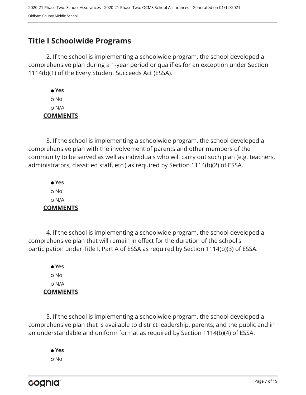### <span id="page-6-0"></span>**Title I Schoolwide Programs**

2. If the school is implementing a schoolwide program, the school developed a comprehensive plan during a 1-year period or qualifies for an exception under Section 1114(b)(1) of the Every Student Succeeds Act (ESSA).

 **Yes** o No N/A **COMMENTS**

3. If the school is implementing a schoolwide program, the school developed a comprehensive plan with the involvement of parents and other members of the community to be served as well as individuals who will carry out such plan (e.g. teachers, administrators, classified staff, etc.) as required by Section 1114(b)(2) of ESSA.

 **Yes** No N/A **COMMENTS**

4. If the school is implementing a schoolwide program, the school developed a comprehensive plan that will remain in effect for the duration of the school's participation under Title I, Part A of ESSA as required by Section 1114(b)(3) of ESSA.

 **Yes** No N/A **COMMENTS**

5. If the school is implementing a schoolwide program, the school developed a comprehensive plan that is available to district leadership, parents, and the public and in an understandable and uniform format as required by Section 1114(b)(4) of ESSA.

 **Yes** o No

cognia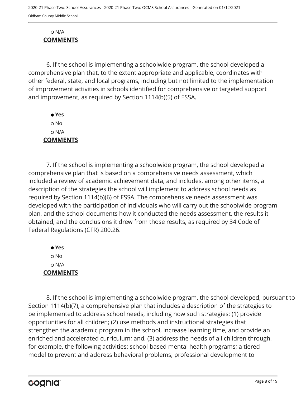#### N/A **COMMENTS**

6. If the school is implementing a schoolwide program, the school developed a comprehensive plan that, to the extent appropriate and applicable, coordinates with other federal, state, and local programs, including but not limited to the implementation of improvement activities in schools identified for comprehensive or targeted support and improvement, as required by Section 1114(b)(5) of ESSA.

 **Yes** o No N/A **COMMENTS**

7. If the school is implementing a schoolwide program, the school developed a comprehensive plan that is based on a comprehensive needs assessment, which included a review of academic achievement data, and includes, among other items, a description of the strategies the school will implement to address school needs as required by Section 1114(b)(6) of ESSA. The comprehensive needs assessment was developed with the participation of individuals who will carry out the schoolwide program plan, and the school documents how it conducted the needs assessment, the results it obtained, and the conclusions it drew from those results, as required by 34 Code of Federal Regulations (CFR) 200.26.

 **Yes** No N/A **COMMENTS**

8. If the school is implementing a schoolwide program, the school developed, pursuant to Section 1114(b)(7), a comprehensive plan that includes a description of the strategies to be implemented to address school needs, including how such strategies: (1) provide opportunities for all children; (2) use methods and instructional strategies that strengthen the academic program in the school, increase learning time, and provide an enriched and accelerated curriculum; and, (3) address the needs of all children through, for example, the following activities: school-based mental health programs; a tiered model to prevent and address behavioral problems; professional development to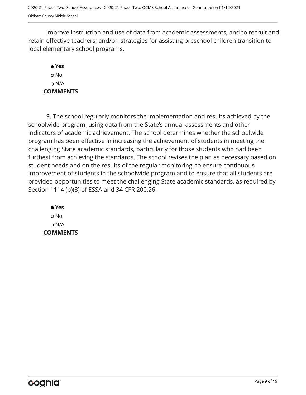improve instruction and use of data from academic assessments, and to recruit and retain effective teachers; and/or, strategies for assisting preschool children transition to local elementary school programs.

### **Yes** o No N/A **COMMENTS**

9. The school regularly monitors the implementation and results achieved by the schoolwide program, using data from the State's annual assessments and other indicators of academic achievement. The school determines whether the schoolwide program has been effective in increasing the achievement of students in meeting the challenging State academic standards, particularly for those students who had been furthest from achieving the standards. The school revises the plan as necessary based on student needs and on the results of the regular monitoring, to ensure continuous improvement of students in the schoolwide program and to ensure that all students are provided opportunities to meet the challenging State academic standards, as required by Section 1114 (b)(3) of ESSA and 34 CFR 200.26.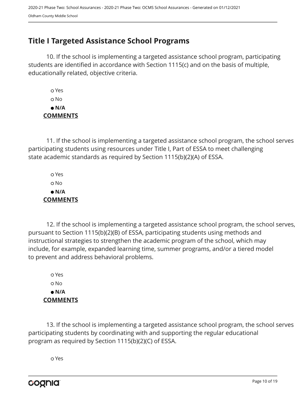## <span id="page-9-0"></span>**Title I Targeted Assistance School Programs**

10. If the school is implementing a targeted assistance school program, participating students are identified in accordance with Section 1115(c) and on the basis of multiple, educationally related, objective criteria.

 Yes o No  **N/A COMMENTS**

11. If the school is implementing a targeted assistance school program, the school serves participating students using resources under Title I, Part of ESSA to meet challenging state academic standards as required by Section 1115(b)(2)(A) of ESSA.

 Yes No  **N/A COMMENTS**

12. If the school is implementing a targeted assistance school program, the school serves, pursuant to Section 1115(b)(2)(B) of ESSA, participating students using methods and instructional strategies to strengthen the academic program of the school, which may include, for example, expanded learning time, summer programs, and/or a tiered model to prevent and address behavioral problems.

 Yes o No  **N/A COMMENTS**

13. If the school is implementing a targeted assistance school program, the school serves participating students by coordinating with and supporting the regular educational program as required by Section 1115(b)(2)(C) of ESSA.

Yes

cognia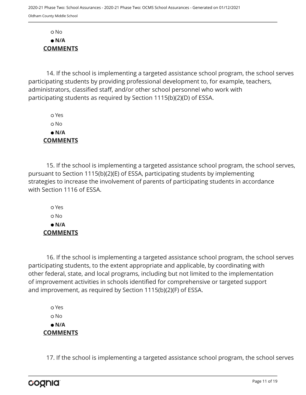No  **N/A COMMENTS**

14. If the school is implementing a targeted assistance school program, the school serves participating students by providing professional development to, for example, teachers, administrators, classified staff, and/or other school personnel who work with participating students as required by Section 1115(b)(2)(D) of ESSA.

 Yes No  **N/A COMMENTS**

15. If the school is implementing a targeted assistance school program, the school serves, pursuant to Section 1115(b)(2)(E) of ESSA, participating students by implementing strategies to increase the involvement of parents of participating students in accordance with Section 1116 of ESSA.

 Yes o No  **N/A COMMENTS**

16. If the school is implementing a targeted assistance school program, the school serves participating students, to the extent appropriate and applicable, by coordinating with other federal, state, and local programs, including but not limited to the implementation of improvement activities in schools identified for comprehensive or targeted support and improvement, as required by Section 1115(b)(2)(F) of ESSA.

 Yes o No  **N/A COMMENTS**

17. If the school is implementing a targeted assistance school program, the school serves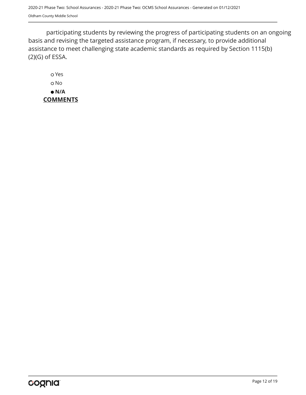participating students by reviewing the progress of participating students on an ongoing basis and revising the targeted assistance program, if necessary, to provide additional assistance to meet challenging state academic standards as required by Section 1115(b) (2)(G) of ESSA.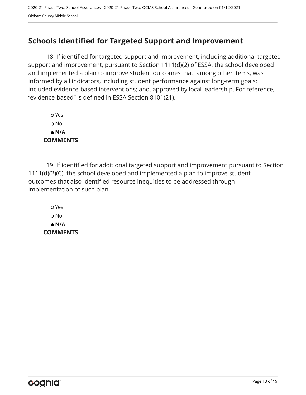## <span id="page-12-0"></span>**Schools Identified for Targeted Support and Improvement**

18. If identified for targeted support and improvement, including additional targeted support and improvement, pursuant to Section 1111(d)(2) of ESSA, the school developed and implemented a plan to improve student outcomes that, among other items, was informed by all indicators, including student performance against long-term goals; included evidence-based interventions; and, approved by local leadership. For reference, "evidence-based" is defined in ESSA Section 8101(21).

 Yes No  **N/A COMMENTS**

19. If identified for additional targeted support and improvement pursuant to Section 1111(d)(2)(C), the school developed and implemented a plan to improve student outcomes that also identified resource inequities to be addressed through implementation of such plan.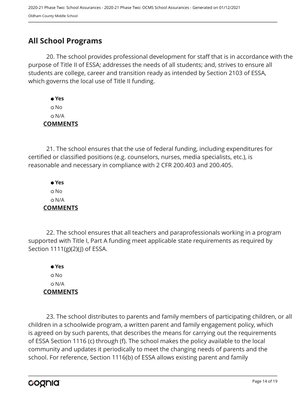## <span id="page-13-0"></span>**All School Programs**

20. The school provides professional development for staff that is in accordance with the purpose of Title II of ESSA; addresses the needs of all students; and, strives to ensure all students are college, career and transition ready as intended by Section 2103 of ESSA, which governs the local use of Title II funding.

 **Yes** No N/A **COMMENTS**

21. The school ensures that the use of federal funding, including expenditures for certified or classified positions (e.g. counselors, nurses, media specialists, etc.), is reasonable and necessary in compliance with 2 CFR 200.403 and 200.405.

 **Yes** No N/A **COMMENTS**

22. The school ensures that all teachers and paraprofessionals working in a program supported with Title I, Part A funding meet applicable state requirements as required by Section 1111(g)(2)(J) of ESSA.

 **Yes** No N/A **COMMENTS**

23. The school distributes to parents and family members of participating children, or all children in a schoolwide program, a written parent and family engagement policy, which is agreed on by such parents, that describes the means for carrying out the requirements of ESSA Section 1116 (c) through (f). The school makes the policy available to the local community and updates it periodically to meet the changing needs of parents and the school. For reference, Section 1116(b) of ESSA allows existing parent and family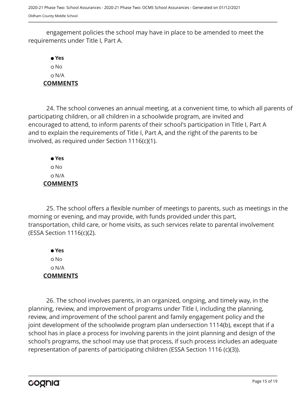engagement policies the school may have in place to be amended to meet the requirements under Title I, Part A.

 **Yes** No N/A **COMMENTS**

24. The school convenes an annual meeting, at a convenient time, to which all parents of participating children, or all children in a schoolwide program, are invited and encouraged to attend, to inform parents of their school's participation in Title I, Part A and to explain the requirements of Title I, Part A, and the right of the parents to be involved, as required under Section 1116(c)(1).

 **Yes** No N/A **COMMENTS**

25. The school offers a flexible number of meetings to parents, such as meetings in the morning or evening, and may provide, with funds provided under this part, transportation, child care, or home visits, as such services relate to parental involvement (ESSA Section 1116(c)(2).

 **Yes** No N/A **COMMENTS**

26. The school involves parents, in an organized, ongoing, and timely way, in the planning, review, and improvement of programs under Title I, including the planning, review, and improvement of the school parent and family engagement policy and the joint development of the schoolwide program plan undersection 1114(b), except that if a school has in place a process for involving parents in the joint planning and design of the school's programs, the school may use that process, if such process includes an adequate representation of parents of participating children (ESSA Section 1116 (c)(3)).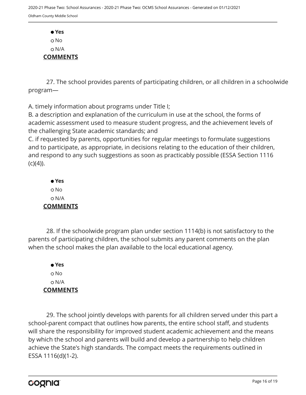**Yes** o No N/A **COMMENTS**

27. The school provides parents of participating children, or all children in a schoolwide program—

A. timely information about programs under Title I;

B. a description and explanation of the curriculum in use at the school, the forms of academic assessment used to measure student progress, and the achievement levels of the challenging State academic standards; and

C. if requested by parents, opportunities for regular meetings to formulate suggestions and to participate, as appropriate, in decisions relating to the education of their children, and respond to any such suggestions as soon as practicably possible (ESSA Section 1116  $(C)(4)$ ).

 **Yes** o No N/A **COMMENTS**

28. If the schoolwide program plan under section 1114(b) is not satisfactory to the parents of participating children, the school submits any parent comments on the plan when the school makes the plan available to the local educational agency.

 **Yes** No N/A **COMMENTS**

29. The school jointly develops with parents for all children served under this part a school-parent compact that outlines how parents, the entire school staff, and students will share the responsibility for improved student academic achievement and the means by which the school and parents will build and develop a partnership to help children achieve the State's high standards. The compact meets the requirements outlined in ESSA 1116(d)(1-2).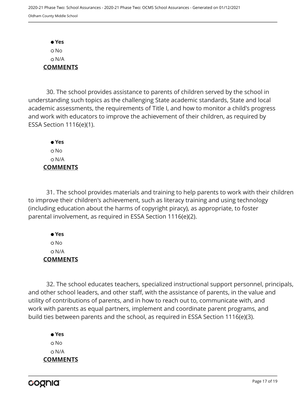**Yes** No N/A **COMMENTS**

30. The school provides assistance to parents of children served by the school in understanding such topics as the challenging State academic standards, State and local academic assessments, the requirements of Title I, and how to monitor a child's progress and work with educators to improve the achievement of their children, as required by ESSA Section 1116(e)(1).

 **Yes** o No N/A **COMMENTS**

31. The school provides materials and training to help parents to work with their children to improve their children's achievement, such as literacy training and using technology (including education about the harms of copyright piracy), as appropriate, to foster parental involvement, as required in ESSA Section 1116(e)(2).

 **Yes** No N/A **COMMENTS**

32. The school educates teachers, specialized instructional support personnel, principals, and other school leaders, and other staff, with the assistance of parents, in the value and utility of contributions of parents, and in how to reach out to, communicate with, and work with parents as equal partners, implement and coordinate parent programs, and build ties between parents and the school, as required in ESSA Section 1116(e)(3).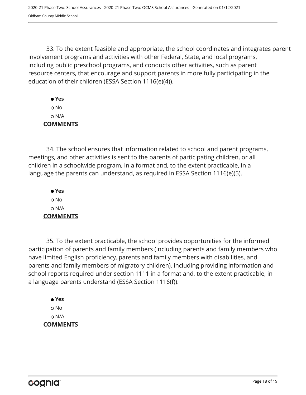33. To the extent feasible and appropriate, the school coordinates and integrates parent involvement programs and activities with other Federal, State, and local programs, including public preschool programs, and conducts other activities, such as parent resource centers, that encourage and support parents in more fully participating in the education of their children (ESSA Section 1116(e)(4)).

 **Yes** No N/A **COMMENTS**

34. The school ensures that information related to school and parent programs, meetings, and other activities is sent to the parents of participating children, or all children in a schoolwide program, in a format and, to the extent practicable, in a language the parents can understand, as required in ESSA Section 1116(e)(5).

 **Yes** o No N/A **COMMENTS**

35. To the extent practicable, the school provides opportunities for the informed participation of parents and family members (including parents and family members who have limited English proficiency, parents and family members with disabilities, and parents and family members of migratory children), including providing information and school reports required under section 1111 in a format and, to the extent practicable, in a language parents understand (ESSA Section 1116(f)).